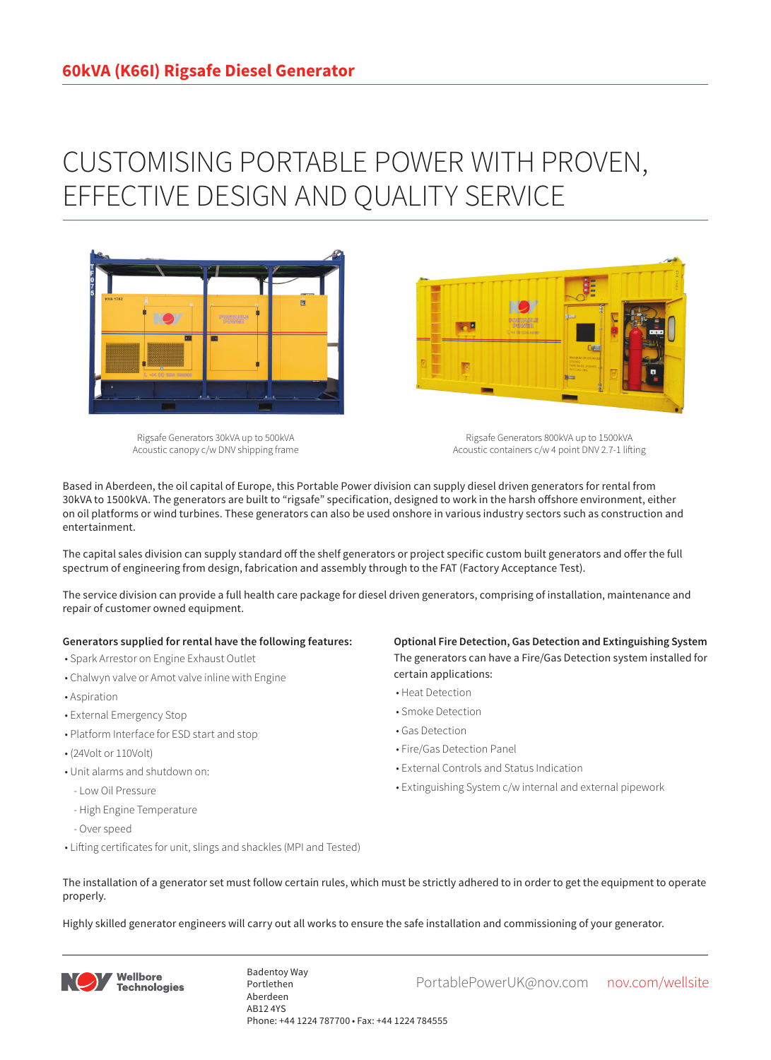# CUSTOMISING PORTABLE POWER WITH PROVEN, EFFECTIVE DESIGN AND QUALITY SERVICE



Rigsafe Generators 30kVA up to 500kVA Acoustic canopy c/w DNV shipping frame

Rigsafe Generators 800kVA up to 1500kVA Acoustic containers c/w 4 point DNV 2.7-1 lifting

Based in Aberdeen, the oil capital of Europe, this Portable Power division can supply diesel driven generators for rental from 30kVA to 1500kVA. The generators are built to "rigsafe" specification, designed to work in the harsh offshore environment, either on oil platforms or wind turbines. These generators can also be used onshore in various industry sectors such as construction and entertainment.

The capital sales division can supply standard off the shelf generators or project specific custom built generators and offer the full spectrum of engineering from design, fabrication and assembly through to the FAT (Factory Acceptance Test).

The service division can provide a full health care package for diesel driven generators, comprising of installation, maintenance and repair of customer owned equipment.

#### **Generators supplied for rental have the following features:**

- Spark Arrestor on Engine Exhaust Outlet
- Chalwyn valve or Amot valve inline with Engine
- Aspiration
- External Emergency Stop
- Platform Interface for ESD start and stop
- (24Volt or 110Volt)
- Unit alarms and shutdown on:
- Low Oil Pressure
- High Engine Temperature
- Over speed
- Lifting certificates for unit, slings and shackles (MPI and Tested)

### **Optional Fire Detection, Gas Detection and Extinguishing System** The generators can have a Fire/Gas Detection system installed for certain applications:

- Heat Detection
- Smoke Detection
- Gas Detection
- Fire/Gas Detection Panel

**Designation** 

- External Controls and Status Indication
- Extinguishing System c/w internal and external pipework
- The installation of a generator set must follow certain rules, which must be strictly adhered to in order to get the equipment to operate properly.

Highly skilled generator engineers will carry out all works to ensure the safe installation and commissioning of your generator.



Badentoy Way<br>PortablePowerUK@nov.com nov.com/wellsite Portlethen Aberdeen AB12 4YS Phone: +44 1224 787700 • Fax: +44 1224 784555